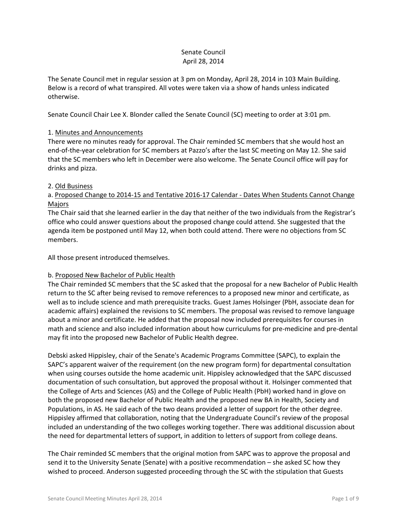## Senate Council April 28, 2014

The Senate Council met in regular session at 3 pm on Monday, April 28, 2014 in 103 Main Building. Below is a record of what transpired. All votes were taken via a show of hands unless indicated otherwise.

Senate Council Chair Lee X. Blonder called the Senate Council (SC) meeting to order at 3:01 pm.

# 1. Minutes and Announcements

There were no minutes ready for approval. The Chair reminded SC members that she would host an end-of-the-year celebration for SC members at Pazzo's after the last SC meeting on May 12. She said that the SC members who left in December were also welcome. The Senate Council office will pay for drinks and pizza.

# 2. Old Business

# a. Proposed Change to 2014-15 and Tentative 2016-17 Calendar - Dates When Students Cannot Change Majors

The Chair said that she learned earlier in the day that neither of the two individuals from the Registrar's office who could answer questions about the proposed change could attend. She suggested that the agenda item be postponed until May 12, when both could attend. There were no objections from SC members.

All those present introduced themselves.

# b. Proposed New Bachelor of Public Health

The Chair reminded SC members that the SC asked that the proposal for a new Bachelor of Public Health return to the SC after being revised to remove references to a proposed new minor and certificate, as well as to include science and math prerequisite tracks. Guest James Holsinger (PbH, associate dean for academic affairs) explained the revisions to SC members. The proposal was revised to remove language about a minor and certificate. He added that the proposal now included prerequisites for courses in math and science and also included information about how curriculums for pre-medicine and pre-dental may fit into the proposed new Bachelor of Public Health degree.

Debski asked Hippisley, chair of the Senate's Academic Programs Committee (SAPC), to explain the SAPC's apparent waiver of the requirement (on the new program form) for departmental consultation when using courses outside the home academic unit. Hippisley acknowledged that the SAPC discussed documentation of such consultation, but approved the proposal without it. Holsinger commented that the College of Arts and Sciences (AS) and the College of Public Health (PbH) worked hand in glove on both the proposed new Bachelor of Public Health and the proposed new BA in Health, Society and Populations, in AS. He said each of the two deans provided a letter of support for the other degree. Hippisley affirmed that collaboration, noting that the Undergraduate Council's review of the proposal included an understanding of the two colleges working together. There was additional discussion about the need for departmental letters of support, in addition to letters of support from college deans.

The Chair reminded SC members that the original motion from SAPC was to approve the proposal and send it to the University Senate (Senate) with a positive recommendation – she asked SC how they wished to proceed. Anderson suggested proceeding through the SC with the stipulation that Guests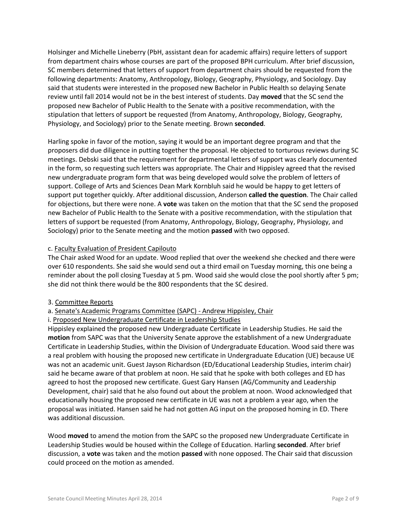Holsinger and Michelle Lineberry (PbH, assistant dean for academic affairs) require letters of support from department chairs whose courses are part of the proposed BPH curriculum. After brief discussion, SC members determined that letters of support from department chairs should be requested from the following departments: Anatomy, Anthropology, Biology, Geography, Physiology, and Sociology. Day said that students were interested in the proposed new Bachelor in Public Health so delaying Senate review until fall 2014 would not be in the best interest of students. Day **moved** that the SC send the proposed new Bachelor of Public Health to the Senate with a positive recommendation, with the stipulation that letters of support be requested (from Anatomy, Anthropology, Biology, Geography, Physiology, and Sociology) prior to the Senate meeting. Brown **seconded**.

Harling spoke in favor of the motion, saying it would be an important degree program and that the proposers did due diligence in putting together the proposal. He objected to torturous reviews during SC meetings. Debski said that the requirement for departmental letters of support was clearly documented in the form, so requesting such letters was appropriate. The Chair and Hippisley agreed that the revised new undergraduate program form that was being developed would solve the problem of letters of support. College of Arts and Sciences Dean Mark Kornbluh said he would be happy to get letters of support put together quickly. After additional discussion, Anderson **called the question**. The Chair called for objections, but there were none. A **vote** was taken on the motion that that the SC send the proposed new Bachelor of Public Health to the Senate with a positive recommendation, with the stipulation that letters of support be requested (from Anatomy, Anthropology, Biology, Geography, Physiology, and Sociology) prior to the Senate meeting and the motion **passed** with two opposed.

## c. Faculty Evaluation of President Capilouto

The Chair asked Wood for an update. Wood replied that over the weekend she checked and there were over 610 respondents. She said she would send out a third email on Tuesday morning, this one being a reminder about the poll closing Tuesday at 5 pm. Wood said she would close the pool shortly after 5 pm; she did not think there would be the 800 respondents that the SC desired.

## 3. Committee Reports

## a. Senate's Academic Programs Committee (SAPC) - Andrew Hippisley, Chair

## i. Proposed New Undergraduate Certificate in Leadership Studies

Hippisley explained the proposed new Undergraduate Certificate in Leadership Studies. He said the **motion** from SAPC was that the University Senate approve the establishment of a new Undergraduate Certificate in Leadership Studies, within the Division of Undergraduate Education. Wood said there was a real problem with housing the proposed new certificate in Undergraduate Education (UE) because UE was not an academic unit. Guest Jayson Richardson (ED/Educational Leadership Studies, interim chair) said he became aware of that problem at noon. He said that he spoke with both colleges and ED has agreed to host the proposed new certificate. Guest Gary Hansen (AG/Community and Leadership Development, chair) said that he also found out about the problem at noon. Wood acknowledged that educationally housing the proposed new certificate in UE was not a problem a year ago, when the proposal was initiated. Hansen said he had not gotten AG input on the proposed homing in ED. There was additional discussion.

Wood **moved** to amend the motion from the SAPC so the proposed new Undergraduate Certificate in Leadership Studies would be housed within the College of Education. Harling **seconded**. After brief discussion, a **vote** was taken and the motion **passed** with none opposed. The Chair said that discussion could proceed on the motion as amended.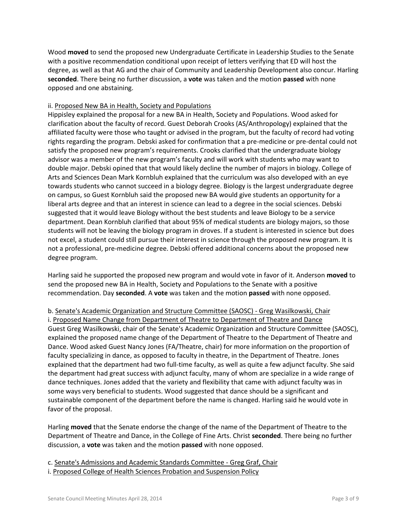Wood **moved** to send the proposed new Undergraduate Certificate in Leadership Studies to the Senate with a positive recommendation conditional upon receipt of letters verifying that ED will host the degree, as well as that AG and the chair of Community and Leadership Development also concur. Harling **seconded**. There being no further discussion, a **vote** was taken and the motion **passed** with none opposed and one abstaining.

# ii. Proposed New BA in Health, Society and Populations

Hippisley explained the proposal for a new BA in Health, Society and Populations. Wood asked for clarification about the faculty of record. Guest Deborah Crooks (AS/Anthropology) explained that the affiliated faculty were those who taught or advised in the program, but the faculty of record had voting rights regarding the program. Debski asked for confirmation that a pre-medicine or pre-dental could not satisfy the proposed new program's requirements. Crooks clarified that the undergraduate biology advisor was a member of the new program's faculty and will work with students who may want to double major. Debski opined that that would likely decline the number of majors in biology. College of Arts and Sciences Dean Mark Kornbluh explained that the curriculum was also developed with an eye towards students who cannot succeed in a biology degree. Biology is the largest undergraduate degree on campus, so Guest Kornbluh said the proposed new BA would give students an opportunity for a liberal arts degree and that an interest in science can lead to a degree in the social sciences. Debski suggested that it would leave Biology without the best students and leave Biology to be a service department. Dean Kornbluh clarified that about 95% of medical students are biology majors, so those students will not be leaving the biology program in droves. If a student is interested in science but does not excel, a student could still pursue their interest in science through the proposed new program. It is not a professional, pre-medicine degree. Debski offered additional concerns about the proposed new degree program.

Harling said he supported the proposed new program and would vote in favor of it. Anderson **moved** to send the proposed new BA in Health, Society and Populations to the Senate with a positive recommendation. Day **seconded**. A **vote** was taken and the motion **passed** with none opposed.

b. Senate's Academic Organization and Structure Committee (SAOSC) - Greg Wasilkowski, Chair i. Proposed Name Change from Department of Theatre to Department of Theatre and Dance Guest Greg Wasilkowski, chair of the Senate's Academic Organization and Structure Committee (SAOSC), explained the proposed name change of the Department of Theatre to the Department of Theatre and Dance. Wood asked Guest Nancy Jones (FA/Theatre, chair) for more information on the proportion of faculty specializing in dance, as opposed to faculty in theatre, in the Department of Theatre. Jones explained that the department had two full-time faculty, as well as quite a few adjunct faculty. She said the department had great success with adjunct faculty, many of whom are specialize in a wide range of dance techniques. Jones added that the variety and flexibility that came with adjunct faculty was in some ways very beneficial to students. Wood suggested that dance should be a significant and sustainable component of the department before the name is changed. Harling said he would vote in favor of the proposal.

Harling **moved** that the Senate endorse the change of the name of the Department of Theatre to the Department of Theatre and Dance, in the College of Fine Arts. Christ **seconded**. There being no further discussion, a **vote** was taken and the motion **passed** with none opposed.

c. Senate's Admissions and Academic Standards Committee - Greg Graf, Chair

i. Proposed College of Health Sciences Probation and Suspension Policy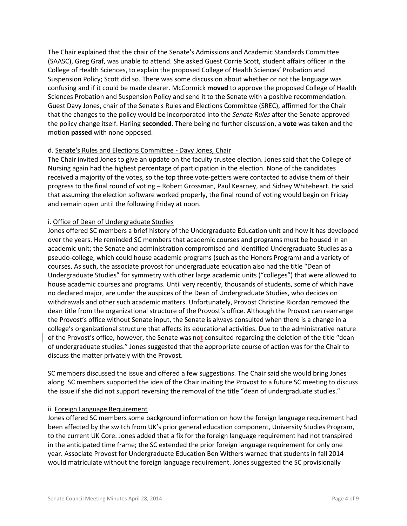The Chair explained that the chair of the Senate's Admissions and Academic Standards Committee (SAASC), Greg Graf, was unable to attend. She asked Guest Corrie Scott, student affairs officer in the College of Health Sciences, to explain the proposed College of Health Sciences' Probation and Suspension Policy; Scott did so. There was some discussion about whether or not the language was confusing and if it could be made clearer. McCormick **moved** to approve the proposed College of Health Sciences Probation and Suspension Policy and send it to the Senate with a positive recommendation. Guest Davy Jones, chair of the Senate's Rules and Elections Committee (SREC), affirmed for the Chair that the changes to the policy would be incorporated into the *Senate Rules* after the Senate approved the policy change itself. Harling **seconded**. There being no further discussion, a **vote** was taken and the motion **passed** with none opposed.

#### d. Senate's Rules and Elections Committee - Davy Jones, Chair

The Chair invited Jones to give an update on the faculty trustee election. Jones said that the College of Nursing again had the highest percentage of participation in the election. None of the candidates received a majority of the votes, so the top three vote-getters were contacted to advise them of their progress to the final round of voting – Robert Grossman, Paul Kearney, and Sidney Whiteheart. He said that assuming the election software worked properly, the final round of voting would begin on Friday and remain open until the following Friday at noon.

## i. Office of Dean of Undergraduate Studies

Jones offered SC members a brief history of the Undergraduate Education unit and how it has developed over the years. He reminded SC members that academic courses and programs must be housed in an academic unit; the Senate and administration compromised and identified Undergraduate Studies as a pseudo-college, which could house academic programs (such as the Honors Program) and a variety of courses. As such, the associate provost for undergraduate education also had the title "Dean of Undergraduate Studies" for symmetry with other large academic units ("colleges") that were allowed to house academic courses and programs. Until very recently, thousands of students, some of which have no declared major, are under the auspices of the Dean of Undergraduate Studies, who decides on withdrawals and other such academic matters. Unfortunately, Provost Christine Riordan removed the dean title from the organizational structure of the Provost's office. Although the Provost can rearrange the Provost's office without Senate input, the Senate is always consulted when there is a change in a college's organizational structure that affects its educational activities. Due to the administrative nature of the Provost's office, however, the Senate was not consulted regarding the deletion of the title "dean of undergraduate studies." Jones suggested that the appropriate course of action was for the Chair to discuss the matter privately with the Provost.

SC members discussed the issue and offered a few suggestions. The Chair said she would bring Jones along. SC members supported the idea of the Chair inviting the Provost to a future SC meeting to discuss the issue if she did not support reversing the removal of the title "dean of undergraduate studies."

#### ii. Foreign Language Requirement

Jones offered SC members some background information on how the foreign language requirement had been affected by the switch from UK's prior general education component, University Studies Program, to the current UK Core. Jones added that a fix for the foreign language requirement had not transpired in the anticipated time frame; the SC extended the prior foreign language requirement for only one year. Associate Provost for Undergraduate Education Ben Withers warned that students in fall 2014 would matriculate without the foreign language requirement. Jones suggested the SC provisionally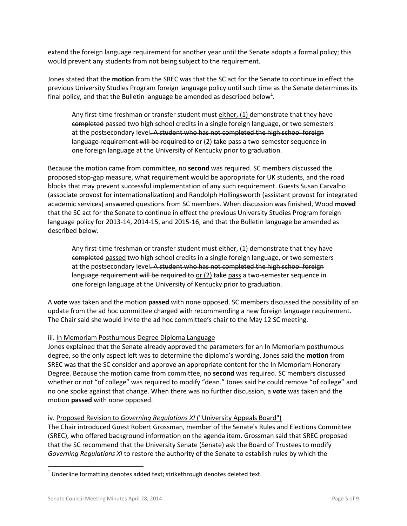extend the foreign language requirement for another year until the Senate adopts a formal policy; this would prevent any students from not being subject to the requirement.

Jones stated that the **motion** from the SREC was that the SC act for the Senate to continue in effect the previous University Studies Program foreign language policy until such time as the Senate determines its final policy, and that the Bulletin language be amended as described below<sup>1</sup>.

Any first-time freshman or transfer student must either, (1) demonstrate that they have completed passed two high school credits in a single foreign language, or two semesters at the postsecondary level. A student who has not completed the high school foreign language requirement will be required to or (2) take pass a two-semester sequence in one foreign language at the University of Kentucky prior to graduation.

Because the motion came from committee, no **second** was required. SC members discussed the proposed stop-gap measure, what requirement would be appropriate for UK students, and the road blocks that may prevent successful implementation of any such requirement. Guests Susan Carvalho (associate provost for internationalization) and Randolph Hollingsworth (assistant provost for integrated academic services) answered questions from SC members. When discussion was finished, Wood **moved** that the SC act for the Senate to continue in effect the previous University Studies Program foreign language policy for 2013-14, 2014-15, and 2015-16, and that the Bulletin language be amended as described below.

Any first-time freshman or transfer student must either, (1) demonstrate that they have completed passed two high school credits in a single foreign language, or two semesters at the postsecondary level. A student who has not completed the high school foreign language requirement will be required to or (2) take pass a two-semester sequence in one foreign language at the University of Kentucky prior to graduation.

A **vote** was taken and the motion **passed** with none opposed. SC members discussed the possibility of an update from the ad hoc committee charged with recommending a new foreign language requirement. The Chair said she would invite the ad hoc committee's chair to the May 12 SC meeting.

## iii. In Memoriam Posthumous Degree Diploma Language

Jones explained that the Senate already approved the parameters for an In Memoriam posthumous degree, so the only aspect left was to determine the diploma's wording. Jones said the **motion** from SREC was that the SC consider and approve an appropriate content for the In Memoriam Honorary Degree. Because the motion came from committee, no **second** was required. SC members discussed whether or not "of college" was required to modify "dean." Jones said he could remove "of college" and no one spoke against that change. When there was no further discussion, a **vote** was taken and the motion **passed** with none opposed.

## iv. Proposed Revision to *Governing Regulations XI* ("University Appeals Board")

The Chair introduced Guest Robert Grossman, member of the Senate's Rules and Elections Committee (SREC), who offered background information on the agenda item. Grossman said that SREC proposed that the SC recommend that the University Senate (Senate) ask the Board of Trustees to modify *Governing Regulations XI* to restore the authority of the Senate to establish rules by which the

 $\overline{\phantom{a}}$ 

 $^{1}$  Underline formatting denotes added text; strikethrough denotes deleted text.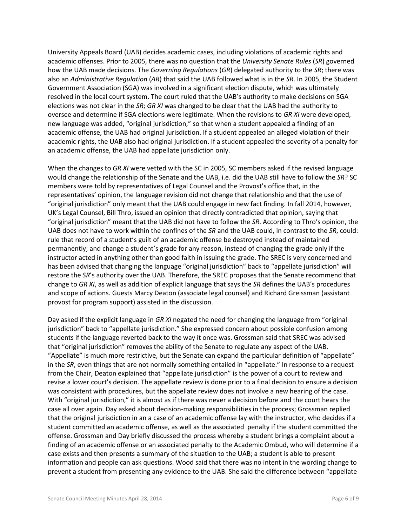University Appeals Board (UAB) decides academic cases, including violations of academic rights and academic offenses. Prior to 2005, there was no question that the *University Senate Rules* (*SR*) governed how the UAB made decisions. The *Governing Regulations* (*GR*) delegated authority to the *SR*; there was also an *Administrative Regulation* (*AR*) that said the UAB followed what is in the *SR*. In 2005, the Student Government Association (SGA) was involved in a significant election dispute, which was ultimately resolved in the local court system. The court ruled that the UAB's authority to make decisions on SGA elections was not clear in the *SR*; *GR XI* was changed to be clear that the UAB had the authority to oversee and determine if SGA elections were legitimate. When the revisions to *GR XI* were developed, new language was added, "original jurisdiction," so that when a student appealed a finding of an academic offense, the UAB had original jurisdiction. If a student appealed an alleged violation of their academic rights, the UAB also had original jurisdiction. If a student appealed the severity of a penalty for an academic offense, the UAB had appellate jurisdiction only.

When the changes to *GR XI* were vetted with the SC in 2005, SC members asked if the revised language would change the relationship of the Senate and the UAB, i.e. did the UAB still have to follow the *SR*? SC members were told by representatives of Legal Counsel and the Provost's office that, in the representatives' opinion, the language revision did not change that relationship and that the use of "original jurisdiction" only meant that the UAB could engage in new fact finding. In fall 2014, however, UK's Legal Counsel, Bill Thro, issued an opinion that directly contradicted that opinion, saying that "original jurisdiction" meant that the UAB did not have to follow the *SR*. According to Thro's opinion, the UAB does not have to work within the confines of the *SR* and the UAB could, in contrast to the *SR*, could: rule that record of a student's guilt of an academic offense be destroyed instead of maintained permanently; and change a student's grade for any reason, instead of changing the grade only if the instructor acted in anything other than good faith in issuing the grade. The SREC is very concerned and has been advised that changing the language "original jurisdiction" back to "appellate jurisdiction" will restore the *SR*'s authority over the UAB. Therefore, the SREC proposes that the Senate recommend that change to *GR XI*, as well as addition of explicit language that says the *SR* defines the UAB's procedures and scope of actions. Guests Marcy Deaton (associate legal counsel) and Richard Greissman (assistant provost for program support) assisted in the discussion.

Day asked if the explicit language in *GR XI* negated the need for changing the language from "original jurisdiction" back to "appellate jurisdiction." She expressed concern about possible confusion among students if the language reverted back to the way it once was. Grossman said that SREC was advised that "original jurisdiction" removes the ability of the Senate to regulate any aspect of the UAB. "Appellate" is much more restrictive, but the Senate can expand the particular definition of "appellate" in the *SR*, even things that are not normally something entailed in "appellate." In response to a request from the Chair, Deaton explained that "appellate jurisdiction" is the power of a court to review and revise a lower court's decision. The appellate review is done prior to a final decision to ensure a decision was consistent with procedures, but the appellate review does not involve a new hearing of the case. With "original jurisdiction," it is almost as if there was never a decision before and the court hears the case all over again. Day asked about decision-making responsibilities in the process; Grossman replied that the original jurisdiction in an a case of an academic offense lay with the instructor, who decides if a student committed an academic offense, as well as the associated penalty if the student committed the offense. Grossman and Day briefly discussed the process whereby a student brings a complaint about a finding of an academic offense or an associated penalty to the Academic Ombud, who will determine if a case exists and then presents a summary of the situation to the UAB; a student is able to present information and people can ask questions. Wood said that there was no intent in the wording change to prevent a student from presenting any evidence to the UAB. She said the difference between "appellate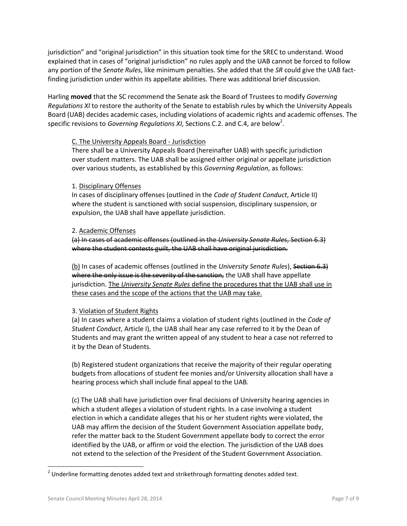jurisdiction" and "original jurisdiction" in this situation took time for the SREC to understand. Wood explained that in cases of "original jurisdiction" no rules apply and the UAB cannot be forced to follow any portion of the *Senate Rules*, like minimum penalties. She added that the *SR* could give the UAB factfinding jurisdiction under within its appellate abilities. There was additional brief discussion.

Harling **moved** that the SC recommend the Senate ask the Board of Trustees to modify *Governing Regulations XI* to restore the authority of the Senate to establish rules by which the University Appeals Board (UAB) decides academic cases, including violations of academic rights and academic offenses. The specific revisions to *Governing Regulations XI*, Sections C.2. and C.4, are below<sup>2</sup>.

## C. The University Appeals Board - Jurisdiction

There shall be a University Appeals Board (hereinafter UAB) with specific jurisdiction over student matters. The UAB shall be assigned either original or appellate jurisdiction over various students, as established by this *Governing Regulation*, as follows:

#### 1. Disciplinary Offenses

In cases of disciplinary offenses (outlined in the *Code of Student Conduct*, Article II) where the student is sanctioned with social suspension, disciplinary suspension, or expulsion, the UAB shall have appellate jurisdiction.

#### 2. Academic Offenses

(a) In cases of academic offenses (outlined in the *University Senate Rules*, Section 6.3) where the student contests guilt, the UAB shall have original jurisdiction.

(b) In cases of academic offenses (outlined in the *University Senate Rules*), Section 6.3) where the only issue is the severity of the sanction, the UAB shall have appellate jurisdiction. The *University Senate Rules* define the procedures that the UAB shall use in these cases and the scope of the actions that the UAB may take.

## 3. Violation of Student Rights

(a) In cases where a student claims a violation of student rights (outlined in the *Code of Student Conduct*, Article I), the UAB shall hear any case referred to it by the Dean of Students and may grant the written appeal of any student to hear a case not referred to it by the Dean of Students.

(b) Registered student organizations that receive the majority of their regular operating budgets from allocations of student fee monies and/or University allocation shall have a hearing process which shall include final appeal to the UAB.

(c) The UAB shall have jurisdiction over final decisions of University hearing agencies in which a student alleges a violation of student rights. In a case involving a student election in which a candidate alleges that his or her student rights were violated, the UAB may affirm the decision of the Student Government Association appellate body, refer the matter back to the Student Government appellate body to correct the error identified by the UAB, or affirm or void the election. The jurisdiction of the UAB does not extend to the selection of the President of the Student Government Association.

 $\overline{\phantom{a}}$ 

 $^{2}$  Underline formatting denotes added text and strikethrough formatting denotes added text.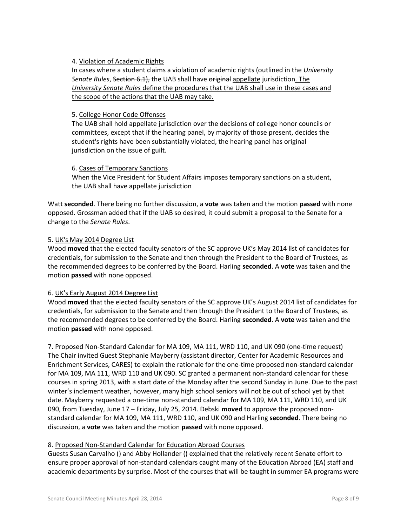## 4. Violation of Academic Rights

In cases where a student claims a violation of academic rights (outlined in the *University Senate Rules*, Section 6.1), the UAB shall have original appellate jurisdiction. The *University Senate Rules* define the procedures that the UAB shall use in these cases and the scope of the actions that the UAB may take.

#### 5. College Honor Code Offenses

The UAB shall hold appellate jurisdiction over the decisions of college honor councils or committees, except that if the hearing panel, by majority of those present, decides the student's rights have been substantially violated, the hearing panel has original jurisdiction on the issue of guilt.

#### 6. Cases of Temporary Sanctions

When the Vice President for Student Affairs imposes temporary sanctions on a student, the UAB shall have appellate jurisdiction

Watt **seconded**. There being no further discussion, a **vote** was taken and the motion **passed** with none opposed. Grossman added that if the UAB so desired, it could submit a proposal to the Senate for a change to the *Senate Rules*.

#### 5. UK's May 2014 Degree List

Wood **moved** that the elected faculty senators of the SC approve UK's May 2014 list of candidates for credentials, for submission to the Senate and then through the President to the Board of Trustees, as the recommended degrees to be conferred by the Board. Harling **seconded**. A **vote** was taken and the motion **passed** with none opposed.

## 6. UK's Early August 2014 Degree List

Wood **moved** that the elected faculty senators of the SC approve UK's August 2014 list of candidates for credentials, for submission to the Senate and then through the President to the Board of Trustees, as the recommended degrees to be conferred by the Board. Harling **seconded**. A **vote** was taken and the motion **passed** with none opposed.

7. Proposed Non-Standard Calendar for MA 109, MA 111, WRD 110, and UK 090 (one-time request) The Chair invited Guest Stephanie Mayberry (assistant director, Center for Academic Resources and Enrichment Services, CARES) to explain the rationale for the one-time proposed non-standard calendar for MA 109, MA 111, WRD 110 and UK 090. SC granted a permanent non-standard calendar for these courses in spring 2013, with a start date of the Monday after the second Sunday in June. Due to the past winter's inclement weather, however, many high school seniors will not be out of school yet by that date. Mayberry requested a one-time non-standard calendar for MA 109, MA 111, WRD 110, and UK 090, from Tuesday, June 17 – Friday, July 25, 2014. Debski **moved** to approve the proposed nonstandard calendar for MA 109, MA 111, WRD 110, and UK 090 and Harling **seconded**. There being no discussion, a **vote** was taken and the motion **passed** with none opposed.

## 8. Proposed Non-Standard Calendar for Education Abroad Courses

Guests Susan Carvalho () and Abby Hollander () explained that the relatively recent Senate effort to ensure proper approval of non-standard calendars caught many of the Education Abroad (EA) staff and academic departments by surprise. Most of the courses that will be taught in summer EA programs were